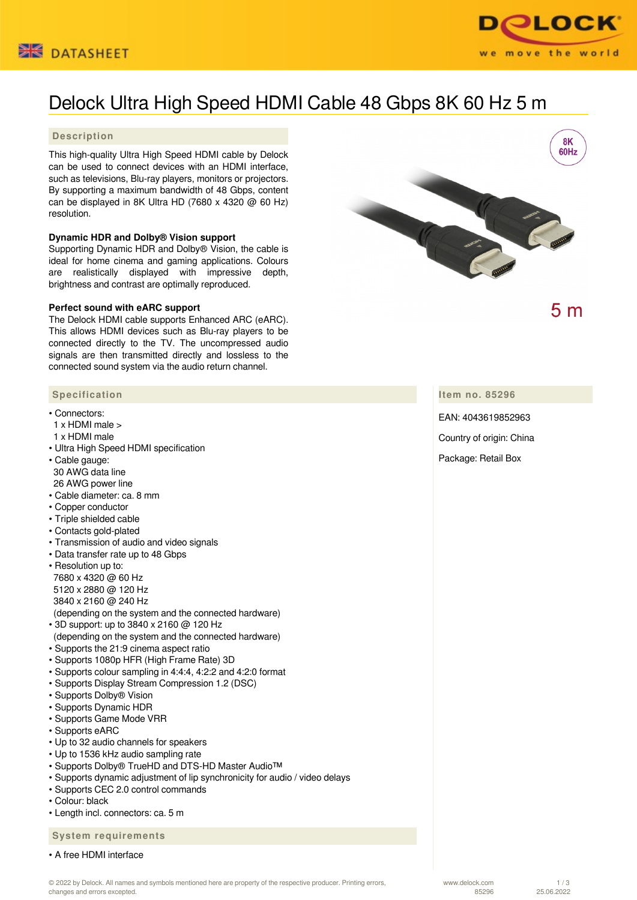



# Delock Ultra High Speed HDMI Cable 48 Gbps 8K 60 Hz 5 m

### **Description**

This high-quality Ultra High Speed HDMI cable by Delock can be used to connect devices with an HDMI interface, such as televisions, Blu-ray players, monitors or projectors. By supporting a maximum bandwidth of 48 Gbps, content can be displayed in 8K Ultra HD (7680 x 4320 @ 60 Hz) resolution.

#### **Dynamic HDR and Dolby® Vision support**

Supporting Dynamic HDR and Dolby® Vision, the cable is ideal for home cinema and gaming applications. Colours are realistically displayed with impressive depth, brightness and contrast are optimally reproduced.

#### **Perfect sound with eARC support**

The Delock HDMI cable supports Enhanced ARC (eARC). This allows HDMI devices such as Blu-ray players to be connected directly to the TV. The uncompressed audio signals are then transmitted directly and lossless to the connected sound system via the audio return channel.

#### **Specification**

- Connectors:
- 1 x HDMI male >
- 1 x HDMI male
- Ultra High Speed HDMI specification
- Cable gauge:
- 30 AWG data line 26 AWG power line
- Cable diameter: ca. 8 mm
- Copper conductor
- Triple shielded cable
- Contacts gold-plated
- Transmission of audio and video signals
- Data transfer rate up to 48 Gbps
- Resolution up to: 7680 x 4320 @ 60 Hz 5120 x 2880 @ 120 Hz 3840 x 2160 @ 240 Hz
- (depending on the system and the connected hardware)
- 3D support: up to 3840 x 2160 @ 120 Hz (depending on the system and the connected hardware)
- Supports the 21:9 cinema aspect ratio
- Supports 1080p HFR (High Frame Rate) 3D
- Supports colour sampling in 4:4:4, 4:2:2 and 4:2:0 format
- Supports Display Stream Compression 1.2 (DSC)
- Supports Dolby® Vision
- Supports Dynamic HDR
- Supports Game Mode VRR
- Supports eARC
- Up to 32 audio channels for speakers
- Up to 1536 kHz audio sampling rate
- Supports Dolby® TrueHD and DTS-HD Master Audio™
- Supports dynamic adjustment of lip synchronicity for audio / video delays
- Supports CEC 2.0 control commands
- Colour: black
- Length incl. connectors: ca. 5 m

 **System requirements**

• A free HDMI interface





 $5<sub>m</sub>$ 

**Item no. 85296**

EAN: 4043619852963

Country of origin: China

Package: Retail Box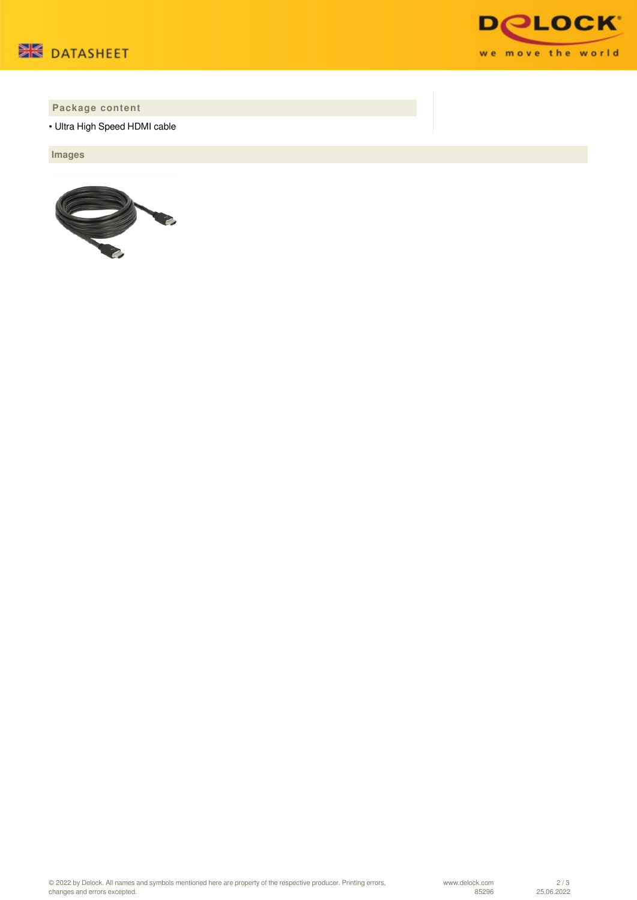



## **Package content**

• Ultra High Speed HDMI cable

 **Images**